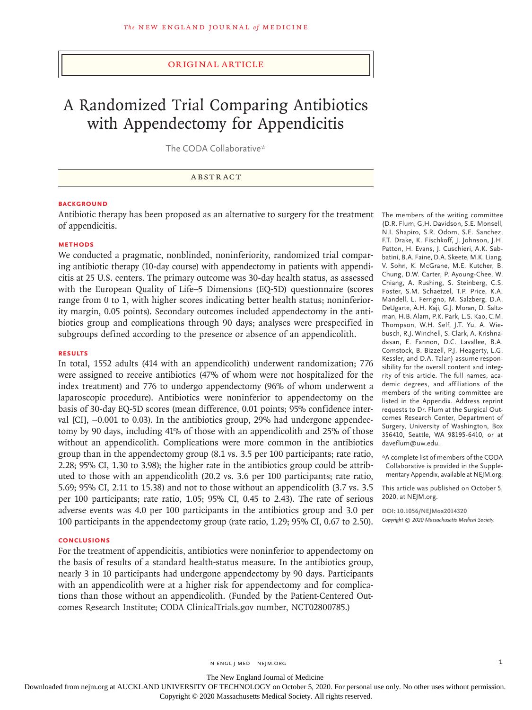### Original Article

# A Randomized Trial Comparing Antibiotics with Appendectomy for Appendicitis

The CODA Collaborative\*

# ABSTRACT

### **BACKGROUND**

Antibiotic therapy has been proposed as an alternative to surgery for the treatment The members of the writing committee of appendicitis.

# **METHODS**

We conducted a pragmatic, nonblinded, noninferiority, randomized trial comparing antibiotic therapy (10-day course) with appendectomy in patients with appendicitis at 25 U.S. centers. The primary outcome was 30-day health status, as assessed with the European Quality of Life–5 Dimensions (EQ-5D) questionnaire (scores range from 0 to 1, with higher scores indicating better health status; noninferiority margin, 0.05 points). Secondary outcomes included appendectomy in the antibiotics group and complications through 90 days; analyses were prespecified in subgroups defined according to the presence or absence of an appendicolith.

# **RESULTS**

In total, 1552 adults (414 with an appendicolith) underwent randomization; 776 were assigned to receive antibiotics (47% of whom were not hospitalized for the index treatment) and 776 to undergo appendectomy (96% of whom underwent a laparoscopic procedure). Antibiotics were noninferior to appendectomy on the basis of 30-day EQ-5D scores (mean difference, 0.01 points; 95% confidence interval [CI], −0.001 to 0.03). In the antibiotics group, 29% had undergone appendectomy by 90 days, including 41% of those with an appendicolith and 25% of those without an appendicolith. Complications were more common in the antibiotics group than in the appendectomy group (8.1 vs. 3.5 per 100 participants; rate ratio, 2.28; 95% CI, 1.30 to 3.98); the higher rate in the antibiotics group could be attributed to those with an appendicolith (20.2 vs. 3.6 per 100 participants; rate ratio, 5.69; 95% CI, 2.11 to 15.38) and not to those without an appendicolith (3.7 vs. 3.5 per 100 participants; rate ratio, 1.05; 95% CI, 0.45 to 2.43). The rate of serious adverse events was 4.0 per 100 participants in the antibiotics group and 3.0 per 100 participants in the appendectomy group (rate ratio, 1.29; 95% CI, 0.67 to 2.50).

# **CONCLUSIONS**

For the treatment of appendicitis, antibiotics were noninferior to appendectomy on the basis of results of a standard health-status measure. In the antibiotics group, nearly 3 in 10 participants had undergone appendectomy by 90 days. Participants with an appendicolith were at a higher risk for appendectomy and for complications than those without an appendicolith. (Funded by the Patient-Centered Outcomes Research Institute; CODA ClinicalTrials.gov number, NCT02800785.)

(D.R. Flum, G.H. Davidson, S.E. Monsell, N.I. Shapiro, S.R. Odom, S.E. Sanchez, F.T. Drake, K. Fischkoff, J. Johnson, J.H. Patton, H. Evans, J. Cuschieri, A.K. Sabbatini, B.A. Faine, D.A. Skeete, M.K. Liang, V. Sohn, K. McGrane, M.E. Kutcher, B. Chung, D.W. Carter, P. Ayoung‑Chee, W. Chiang, A. Rushing, S. Steinberg, C.S. Foster, S.M. Schaetzel, T.P. Price, K.A. Mandell, L. Ferrigno, M. Salzberg, D.A. DeUgarte, A.H. Kaji, G.J. Moran, D. Saltzman, H.B. Alam, P.K. Park, L.S. Kao, C.M. Thompson, W.H. Self, J.T. Yu, A. Wie‑ busch, R.J. Winchell, S. Clark, A. Krishnadasan, E. Fannon, D.C. Lavallee, B.A. Comstock, B. Bizzell, P.J. Heagerty, L.G. Kessler, and D.A. Talan) assume responsibility for the overall content and integrity of this article. The full names, academic degrees, and affiliations of the members of the writing committee are listed in the Appendix. Address reprint requests to Dr. Flum at the Surgical Outcomes Research Center, Department of Surgery, University of Washington, Box 356410, Seattle, WA 98195-6410, or at daveflum@uw.edu.

\*A complete list of members of the CODA Collaborative is provided in the Supple‑ mentary Appendix, available at NEJM.org.

This article was published on October 5, 2020, at NEJM.org.

**DOI: 10.1056/NEJMoa2014320** *Copyright © 2020 Massachusetts Medical Society.*

n engl j med nejm.org 1

The New England Journal of Medicine

Downloaded from nejm.org at AUCKLAND UNIVERSITY OF TECHNOLOGY on October 5, 2020. For personal use only. No other uses without permission.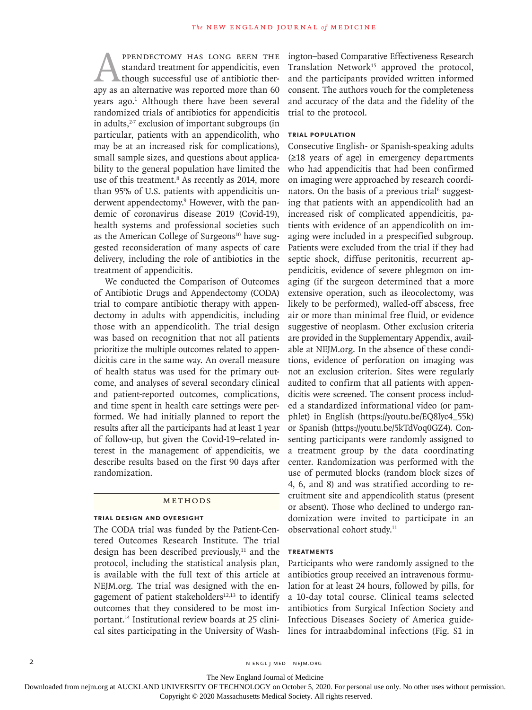PPENDECTOMY HAS LONG BEEN THE<br>standard treatment for appendicitis, even<br>though successful use of antibiotic ther-<br>apv as an alternative was reported more than 60 standard treatment for appendicitis, even though successful use of antibiotic therapy as an alternative was reported more than 60 years ago.1 Although there have been several randomized trials of antibiotics for appendicitis in adults, $2<sup>2-7</sup>$  exclusion of important subgroups (in particular, patients with an appendicolith, who may be at an increased risk for complications), small sample sizes, and questions about applicability to the general population have limited the use of this treatment.<sup>8</sup> As recently as 2014, more than 95% of U.S. patients with appendicitis underwent appendectomy.<sup>9</sup> However, with the pandemic of coronavirus disease 2019 (Covid-19), health systems and professional societies such as the American College of Surgeons<sup>10</sup> have suggested reconsideration of many aspects of care delivery, including the role of antibiotics in the treatment of appendicitis.

We conducted the Comparison of Outcomes of Antibiotic Drugs and Appendectomy (CODA) trial to compare antibiotic therapy with appendectomy in adults with appendicitis, including those with an appendicolith. The trial design was based on recognition that not all patients prioritize the multiple outcomes related to appendicitis care in the same way. An overall measure of health status was used for the primary outcome, and analyses of several secondary clinical and patient-reported outcomes, complications, and time spent in health care settings were performed. We had initially planned to report the results after all the participants had at least 1 year of follow-up, but given the Covid-19–related interest in the management of appendicitis, we describe results based on the first 90 days after randomization.

#### METHODS

# **Trial Design and Oversight**

The CODA trial was funded by the Patient-Centered Outcomes Research Institute. The trial design has been described previously, $11$  and the protocol, including the statistical analysis plan, is available with the full text of this article at NEJM.org. The trial was designed with the engagement of patient stakeholders $12,13$  to identify outcomes that they considered to be most important.14 Institutional review boards at 25 clinical sites participating in the University of Washington–based Comparative Effectiveness Research Translation Network<sup>15</sup> approved the protocol, and the participants provided written informed consent. The authors vouch for the completeness and accuracy of the data and the fidelity of the trial to the protocol.

### **Trial Population**

Consecutive English- or Spanish-speaking adults (≥18 years of age) in emergency departments who had appendicitis that had been confirmed on imaging were approached by research coordinators. On the basis of a previous trial<sup>6</sup> suggesting that patients with an appendicolith had an increased risk of complicated appendicitis, patients with evidence of an appendicolith on imaging were included in a prespecified subgroup. Patients were excluded from the trial if they had septic shock, diffuse peritonitis, recurrent appendicitis, evidence of severe phlegmon on imaging (if the surgeon determined that a more extensive operation, such as ileocolectomy, was likely to be performed), walled-off abscess, free air or more than minimal free fluid, or evidence suggestive of neoplasm. Other exclusion criteria are provided in the Supplementary Appendix, available at NEJM.org. In the absence of these conditions, evidence of perforation on imaging was not an exclusion criterion. Sites were regularly audited to confirm that all patients with appendicitis were screened. The consent process included a standardized informational video (or pamphlet) in English (https://youtu.be/EQ8Iyc4\_55k) or Spanish (https://youtu.be/5kTdVoq0GZ4). Consenting participants were randomly assigned to a treatment group by the data coordinating center. Randomization was performed with the use of permuted blocks (random block sizes of 4, 6, and 8) and was stratified according to recruitment site and appendicolith status (present or absent). Those who declined to undergo randomization were invited to participate in an observational cohort study.11

# **Treatments**

Participants who were randomly assigned to the antibiotics group received an intravenous formulation for at least 24 hours, followed by pills, for a 10-day total course. Clinical teams selected antibiotics from Surgical Infection Society and Infectious Diseases Society of America guidelines for intraabdominal infections (Fig. S1 in

2 N ENGL J MED NEJM.ORG

The New England Journal of Medicine

Downloaded from nejm.org at AUCKLAND UNIVERSITY OF TECHNOLOGY on October 5, 2020. For personal use only. No other uses without permission.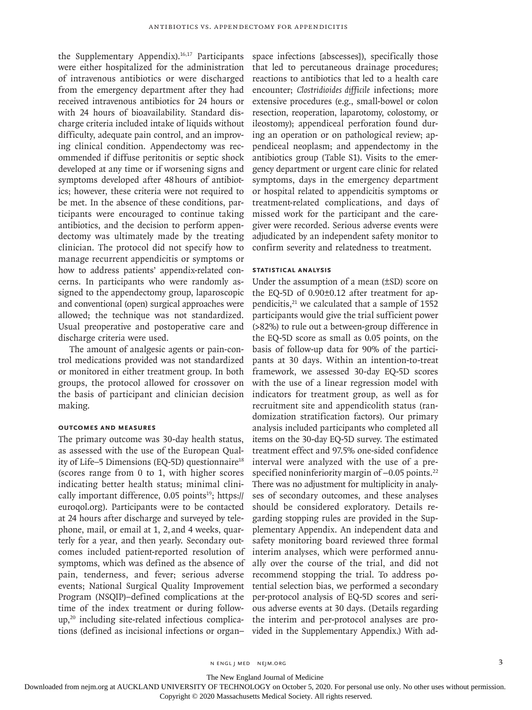the Supplementary Appendix). $16,17$  Participants were either hospitalized for the administration of intravenous antibiotics or were discharged from the emergency department after they had received intravenous antibiotics for 24 hours or with 24 hours of bioavailability. Standard discharge criteria included intake of liquids without difficulty, adequate pain control, and an improving clinical condition. Appendectomy was recommended if diffuse peritonitis or septic shock developed at any time or if worsening signs and symptoms developed after 48hours of antibiotics; however, these criteria were not required to be met. In the absence of these conditions, participants were encouraged to continue taking antibiotics, and the decision to perform appendectomy was ultimately made by the treating clinician. The protocol did not specify how to manage recurrent appendicitis or symptoms or how to address patients' appendix-related concerns. In participants who were randomly assigned to the appendectomy group, laparoscopic and conventional (open) surgical approaches were allowed; the technique was not standardized. Usual preoperative and postoperative care and discharge criteria were used.

The amount of analgesic agents or pain-control medications provided was not standardized or monitored in either treatment group. In both groups, the protocol allowed for crossover on the basis of participant and clinician decision making.

## **Outcomes and Measures**

The primary outcome was 30-day health status, as assessed with the use of the European Quality of Life–5 Dimensions (EQ-5D) questionnaire<sup>18</sup> (scores range from 0 to 1, with higher scores indicating better health status; minimal clinically important difference,  $0.05$  points<sup>19</sup>; https:// euroqol.org). Participants were to be contacted at 24 hours after discharge and surveyed by telephone, mail, or email at 1, 2,and 4 weeks, quarterly for a year, and then yearly. Secondary outcomes included patient-reported resolution of symptoms, which was defined as the absence of pain, tenderness, and fever; serious adverse events; National Surgical Quality Improvement Program (NSQIP)–defined complications at the time of the index treatment or during followup,20 including site-related infectious complications (defined as incisional infections or organ–

space infections [abscesses]), specifically those that led to percutaneous drainage procedures; reactions to antibiotics that led to a health care encounter; *Clostridioides difficile* infections; more extensive procedures (e.g., small-bowel or colon resection, reoperation, laparotomy, colostomy, or ileostomy); appendiceal perforation found during an operation or on pathological review; appendiceal neoplasm; and appendectomy in the antibiotics group (Table S1). Visits to the emergency department or urgent care clinic for related symptoms, days in the emergency department or hospital related to appendicitis symptoms or treatment-related complications, and days of missed work for the participant and the caregiver were recorded. Serious adverse events were adjudicated by an independent safety monitor to confirm severity and relatedness to treatment.

# **Statistical Analysis**

Under the assumption of a mean (±SD) score on the EQ-5D of 0.90±0.12 after treatment for appendicitis,<sup>21</sup> we calculated that a sample of 1552 participants would give the trial sufficient power (>82%) to rule out a between-group difference in the EQ-5D score as small as 0.05 points, on the basis of follow-up data for 90% of the participants at 30 days. Within an intention-to-treat framework, we assessed 30-day EQ-5D scores with the use of a linear regression model with indicators for treatment group, as well as for recruitment site and appendicolith status (randomization stratification factors). Our primary analysis included participants who completed all items on the 30-day EQ-5D survey. The estimated treatment effect and 97.5% one-sided confidence interval were analyzed with the use of a prespecified noninferiority margin of –0.05 points.<sup>22</sup> There was no adjustment for multiplicity in analyses of secondary outcomes, and these analyses should be considered exploratory. Details regarding stopping rules are provided in the Supplementary Appendix. An independent data and safety monitoring board reviewed three formal interim analyses, which were performed annually over the course of the trial, and did not recommend stopping the trial. To address potential selection bias, we performed a secondary per-protocol analysis of EQ-5D scores and serious adverse events at 30 days. (Details regarding the interim and per-protocol analyses are provided in the Supplementary Appendix.) With ad-

The New England Journal of Medicine

Downloaded from nejm.org at AUCKLAND UNIVERSITY OF TECHNOLOGY on October 5, 2020. For personal use only. No other uses without permission.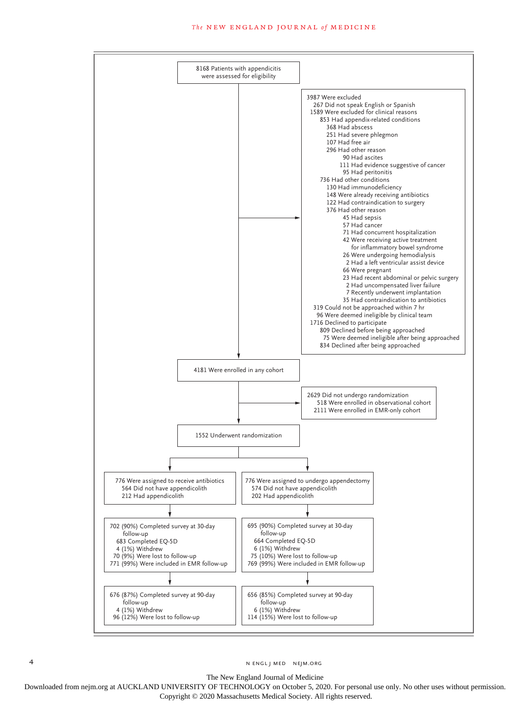#### The NEW ENGLAND JOURNAL of MEDICINE



4 **n** engl j med neglecting in the neglection of  $\alpha$  is neglected in the neglection of  $\alpha$ 

The New England Journal of Medicine

Downloaded from nejm.org at AUCKLAND UNIVERSITY OF TECHNOLOGY on October 5, 2020. For personal use only. No other uses without permission. Copyright © 2020 Massachusetts Medical Society. All rights reserved.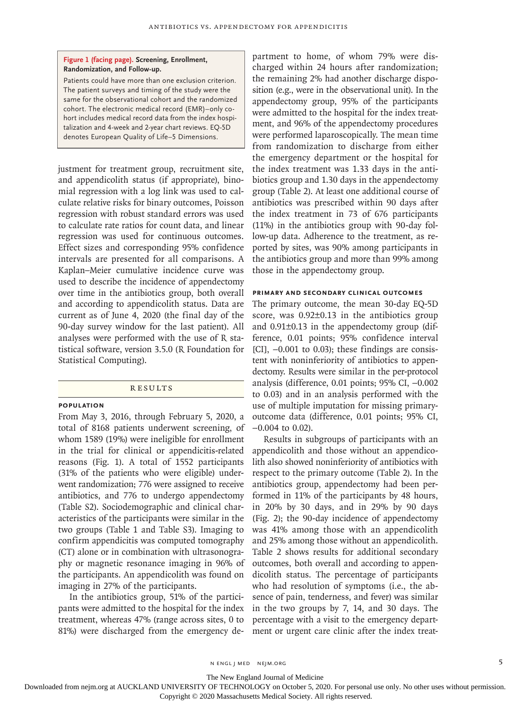### **Figure 1 (facing page). Screening, Enrollment, Randomization, and Follow-up.**

Patients could have more than one exclusion criterion. The patient surveys and timing of the study were the same for the observational cohort and the randomized cohort. The electronic medical record (EMR)-only cohort includes medical record data from the index hospitalization and 4-week and 2-year chart reviews. EQ-5D denotes European Quality of Life–5 Dimensions.

justment for treatment group, recruitment site, and appendicolith status (if appropriate), binomial regression with a log link was used to calculate relative risks for binary outcomes, Poisson regression with robust standard errors was used to calculate rate ratios for count data, and linear regression was used for continuous outcomes. Effect sizes and corresponding 95% confidence intervals are presented for all comparisons. A Kaplan–Meier cumulative incidence curve was used to describe the incidence of appendectomy over time in the antibiotics group, both overall and according to appendicolith status. Data are current as of June 4, 2020 (the final day of the 90-day survey window for the last patient). All analyses were performed with the use of R statistical software, version 3.5.0 (R Foundation for Statistical Computing).

# **RESULTS**

### **Population**

From May 3, 2016, through February 5, 2020, a total of 8168 patients underwent screening, of whom 1589 (19%) were ineligible for enrollment in the trial for clinical or appendicitis-related reasons (Fig. 1). A total of 1552 participants (31% of the patients who were eligible) underwent randomization; 776 were assigned to receive antibiotics, and 776 to undergo appendectomy (Table S2). Sociodemographic and clinical characteristics of the participants were similar in the two groups (Table 1 and Table S3). Imaging to confirm appendicitis was computed tomography (CT) alone or in combination with ultrasonography or magnetic resonance imaging in 96% of the participants. An appendicolith was found on imaging in 27% of the participants.

In the antibiotics group, 51% of the participants were admitted to the hospital for the index treatment, whereas 47% (range across sites, 0 to 81%) were discharged from the emergency de-

partment to home, of whom 79% were discharged within 24 hours after randomization; the remaining 2% had another discharge disposition (e.g., were in the observational unit). In the appendectomy group, 95% of the participants were admitted to the hospital for the index treatment, and 96% of the appendectomy procedures were performed laparoscopically. The mean time from randomization to discharge from either the emergency department or the hospital for the index treatment was 1.33 days in the antibiotics group and 1.30 days in the appendectomy group (Table 2). At least one additional course of antibiotics was prescribed within 90 days after the index treatment in 73 of 676 participants (11%) in the antibiotics group with 90-day follow-up data. Adherence to the treatment, as reported by sites, was 90% among participants in the antibiotics group and more than 99% among those in the appendectomy group.

# **Primary and Secondary Clinical Outcomes**

The primary outcome, the mean 30-day EQ-5D score, was 0.92±0.13 in the antibiotics group and 0.91±0.13 in the appendectomy group (difference, 0.01 points; 95% confidence interval [CI], −0.001 to 0.03); these findings are consistent with noninferiority of antibiotics to appendectomy. Results were similar in the per-protocol analysis (difference, 0.01 points; 95% CI, −0.002 to 0.03) and in an analysis performed with the use of multiple imputation for missing primaryoutcome data (difference, 0.01 points; 95% CI, −0.004 to 0.02).

Results in subgroups of participants with an appendicolith and those without an appendicolith also showed noninferiority of antibiotics with respect to the primary outcome (Table 2). In the antibiotics group, appendectomy had been performed in 11% of the participants by 48 hours, in 20% by 30 days, and in 29% by 90 days (Fig. 2); the 90-day incidence of appendectomy was 41% among those with an appendicolith and 25% among those without an appendicolith. Table 2 shows results for additional secondary outcomes, both overall and according to appendicolith status. The percentage of participants who had resolution of symptoms (i.e., the absence of pain, tenderness, and fever) was similar in the two groups by 7, 14, and 30 days. The percentage with a visit to the emergency department or urgent care clinic after the index treat-

The New England Journal of Medicine

Downloaded from nejm.org at AUCKLAND UNIVERSITY OF TECHNOLOGY on October 5, 2020. For personal use only. No other uses without permission.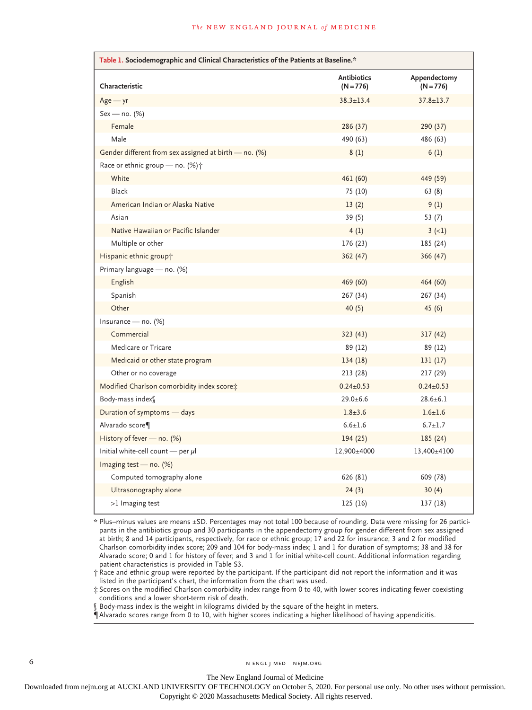| Table 1. Sociodemographic and Clinical Characteristics of the Patients at Baseline.* |                                   |                             |
|--------------------------------------------------------------------------------------|-----------------------------------|-----------------------------|
| Characteristic                                                                       | <b>Antibiotics</b><br>$(N = 776)$ | Appendectomy<br>$(N = 776)$ |
| $Age - yr$                                                                           | $38.3 \pm 13.4$                   | $37.8 \pm 13.7$             |
| $Sex - no. (%)$                                                                      |                                   |                             |
| Female                                                                               | 286 (37)                          | 290 (37)                    |
| Male                                                                                 | 490 (63)                          | 486 (63)                    |
| Gender different from sex assigned at birth $-$ no. (%)                              | 8(1)                              | 6(1)                        |
| Race or ethnic group - no. (%) +                                                     |                                   |                             |
| White                                                                                | 461 (60)                          | 449 (59)                    |
| Black                                                                                | 75 (10)                           | 63(8)                       |
| American Indian or Alaska Native                                                     | 13(2)                             | 9(1)                        |
| Asian                                                                                | 39(5)                             | 53 $(7)$                    |
| Native Hawaiian or Pacific Islander                                                  | 4(1)                              | $3(-1)$                     |
| Multiple or other                                                                    | 176 (23)                          | 185 (24)                    |
| Hispanic ethnic group†                                                               | 362 (47)                          | 366 (47)                    |
| Primary language - no. (%)                                                           |                                   |                             |
| English                                                                              | 469 (60)                          | 464 (60)                    |
| Spanish                                                                              | 267 (34)                          | 267 (34)                    |
| Other                                                                                | 40(5)                             | 45(6)                       |
| Insurance — no. $(\%)$                                                               |                                   |                             |
| Commercial                                                                           | 323 (43)                          | 317 (42)                    |
| Medicare or Tricare                                                                  | 89 (12)                           | 89 (12)                     |
| Medicaid or other state program                                                      | 134(18)                           | 131(17)                     |
| Other or no coverage                                                                 | 213 (28)                          | 217 (29)                    |
| Modified Charlson comorbidity index score:                                           | $0.24 \pm 0.53$                   | $0.24 \pm 0.53$             |
| Body-mass index¶                                                                     | $29.0 + 6.6$                      | $28.6 \pm 6.1$              |
| Duration of symptoms - days                                                          | $1.8 + 3.6$                       | $1.6 + 1.6$                 |
| Alvarado score¶                                                                      | $6.6 \pm 1.6$                     | $6.7 \pm 1.7$               |
| History of fever - no. (%)                                                           | 194 (25)                          | 185(24)                     |
| Initial white-cell count $-$ per $\mu$ l                                             | 12,900±4000                       | 13,400±4100                 |
| Imaging test - no. $(\%)$                                                            |                                   |                             |
| Computed tomography alone                                                            | 626 (81)                          | 609 (78)                    |
| Ultrasonography alone                                                                | 24(3)                             | 30(4)                       |
| >1 Imaging test                                                                      | 125 (16)                          | 137 (18)                    |

\* Plus–minus values are means ±SD. Percentages may not total 100 because of rounding. Data were missing for 26 partici‑ pants in the antibiotics group and 30 participants in the appendectomy group for gender different from sex assigned at birth; 8 and 14 participants, respectively, for race or ethnic group; 17 and 22 for insurance; 3 and 2 for modified Charlson comorbidity index score; 209 and 104 for body-mass index; 1 and 1 for duration of symptoms; 38 and 38 for Alvarado score; 0 and 1 for history of fever; and 3 and 1 for initial white-cell count. Additional information regarding patient characteristics is provided in Table S3.

† Race and ethnic group were reported by the participant. If the participant did not report the information and it was listed in the participant's chart, the information from the chart was used.

‡ Scores on the modified Charlson comorbidity index range from 0 to 40, with lower scores indicating fewer coexisting conditions and a lower short-term risk of death.

Body-mass index is the weight in kilograms divided by the square of the height in meters.

¶ Alvarado scores range from 0 to 10, with higher scores indicating a higher likelihood of having appendicitis.

The New England Journal of Medicine

Downloaded from nejm.org at AUCKLAND UNIVERSITY OF TECHNOLOGY on October 5, 2020. For personal use only. No other uses without permission.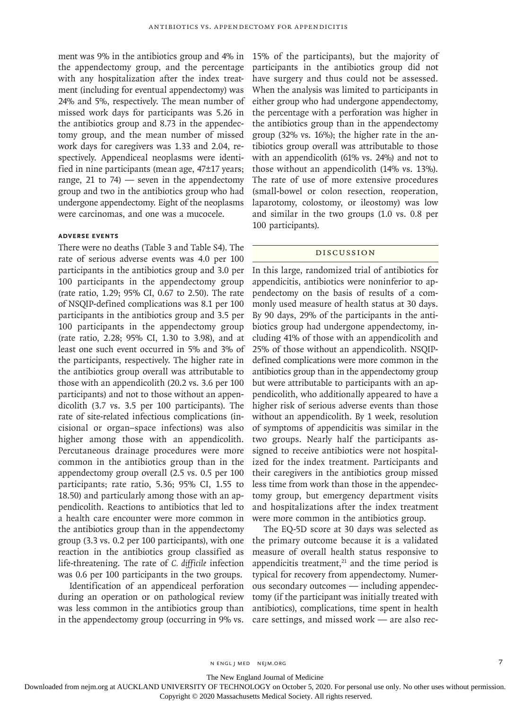ment was 9% in the antibiotics group and 4% in the appendectomy group, and the percentage with any hospitalization after the index treatment (including for eventual appendectomy) was 24% and 5%, respectively. The mean number of missed work days for participants was 5.26 in the antibiotics group and 8.73 in the appendectomy group, and the mean number of missed work days for caregivers was 1.33 and 2.04, respectively. Appendiceal neoplasms were identified in nine participants (mean age, 47±17 years; range, 21 to 74) — seven in the appendectomy group and two in the antibiotics group who had undergone appendectomy. Eight of the neoplasms were carcinomas, and one was a mucocele.

# **Adverse Events**

There were no deaths (Table 3 and Table S4). The rate of serious adverse events was 4.0 per 100 participants in the antibiotics group and 3.0 per 100 participants in the appendectomy group (rate ratio, 1.29; 95% CI, 0.67 to 2.50). The rate of NSQIP-defined complications was 8.1 per 100 participants in the antibiotics group and 3.5 per 100 participants in the appendectomy group (rate ratio, 2.28; 95% CI, 1.30 to 3.98), and at least one such event occurred in 5% and 3% of the participants, respectively. The higher rate in the antibiotics group overall was attributable to those with an appendicolith (20.2 vs. 3.6 per 100 participants) and not to those without an appendicolith (3.7 vs. 3.5 per 100 participants). The rate of site-related infectious complications (incisional or organ–space infections) was also higher among those with an appendicolith. Percutaneous drainage procedures were more common in the antibiotics group than in the appendectomy group overall (2.5 vs. 0.5 per 100 participants; rate ratio, 5.36; 95% CI, 1.55 to 18.50) and particularly among those with an appendicolith. Reactions to antibiotics that led to a health care encounter were more common in the antibiotics group than in the appendectomy group (3.3 vs. 0.2 per 100 participants), with one reaction in the antibiotics group classified as life-threatening. The rate of *C. difficile* infection was 0.6 per 100 participants in the two groups.

Identification of an appendiceal perforation during an operation or on pathological review was less common in the antibiotics group than in the appendectomy group (occurring in 9% vs. 15% of the participants), but the majority of participants in the antibiotics group did not have surgery and thus could not be assessed. When the analysis was limited to participants in either group who had undergone appendectomy, the percentage with a perforation was higher in the antibiotics group than in the appendectomy group (32% vs. 16%); the higher rate in the antibiotics group overall was attributable to those with an appendicolith (61% vs. 24%) and not to those without an appendicolith (14% vs. 13%). The rate of use of more extensive procedures (small-bowel or colon resection, reoperation, laparotomy, colostomy, or ileostomy) was low and similar in the two groups (1.0 vs. 0.8 per 100 participants).

# Discussion

In this large, randomized trial of antibiotics for appendicitis, antibiotics were noninferior to appendectomy on the basis of results of a commonly used measure of health status at 30 days. By 90 days, 29% of the participants in the antibiotics group had undergone appendectomy, including 41% of those with an appendicolith and 25% of those without an appendicolith. NSQIPdefined complications were more common in the antibiotics group than in the appendectomy group but were attributable to participants with an appendicolith, who additionally appeared to have a higher risk of serious adverse events than those without an appendicolith. By 1 week, resolution of symptoms of appendicitis was similar in the two groups. Nearly half the participants assigned to receive antibiotics were not hospitalized for the index treatment. Participants and their caregivers in the antibiotics group missed less time from work than those in the appendectomy group, but emergency department visits and hospitalizations after the index treatment were more common in the antibiotics group.

The EQ-5D score at 30 days was selected as the primary outcome because it is a validated measure of overall health status responsive to appendicitis treatment, $21$  and the time period is typical for recovery from appendectomy. Numerous secondary outcomes — including appendectomy (if the participant was initially treated with antibiotics), complications, time spent in health care settings, and missed work — are also rec-

The New England Journal of Medicine

Downloaded from nejm.org at AUCKLAND UNIVERSITY OF TECHNOLOGY on October 5, 2020. For personal use only. No other uses without permission.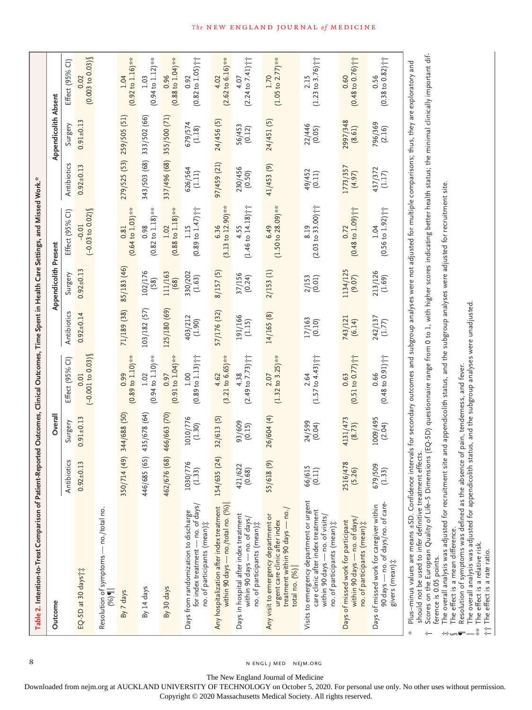| Table 2. Intention-to-Treat Comparison of Patient-Reported Outcomes, Clinical Outcomes, Time Spent in Health Care Settings, and Missed Work."                                                                                                                                                                                                                                                                                                                                                                                                                                                                                                                                                                                      |                            |                    |                                                                                                                                   |                   |                       |                                               |                      |                             |                                                       |
|------------------------------------------------------------------------------------------------------------------------------------------------------------------------------------------------------------------------------------------------------------------------------------------------------------------------------------------------------------------------------------------------------------------------------------------------------------------------------------------------------------------------------------------------------------------------------------------------------------------------------------------------------------------------------------------------------------------------------------|----------------------------|--------------------|-----------------------------------------------------------------------------------------------------------------------------------|-------------------|-----------------------|-----------------------------------------------|----------------------|-----------------------------|-------------------------------------------------------|
| Outcome                                                                                                                                                                                                                                                                                                                                                                                                                                                                                                                                                                                                                                                                                                                            |                            | Overall            |                                                                                                                                   |                   | Appendicolith Present |                                               |                      | <b>Appendicolith Absent</b> |                                                       |
|                                                                                                                                                                                                                                                                                                                                                                                                                                                                                                                                                                                                                                                                                                                                    | Antibiotics                | Surgery            | Effect (95% CI)                                                                                                                   | Antibiotics       | Surgery               | Effect (95% CI)                               | Antibiotics          | Surgery                     | Effect (95% CI)                                       |
| EQ-5D at 30 days it:                                                                                                                                                                                                                                                                                                                                                                                                                                                                                                                                                                                                                                                                                                               | $0.92 \pm 0.13$            | $0.91 + 0.13$      | $(-0.001 to 0.03)$<br>0.01                                                                                                        | $0.92 \pm 0.14$   | $0.92 + 0.13$         | $(-0.03 \text{ to } 0.02)$<br>$-0.01$         | $0.92 + 0.13$        | $0.91 + 0.13$               | $(0.003 \text{ to } 0.03)$<br>0.02                    |
|                                                                                                                                                                                                                                                                                                                                                                                                                                                                                                                                                                                                                                                                                                                                    |                            |                    |                                                                                                                                   |                   |                       |                                               |                      |                             |                                                       |
| By 7 days                                                                                                                                                                                                                                                                                                                                                                                                                                                                                                                                                                                                                                                                                                                          | 350/714 (49)               | 344/688 (50)       | $(0.89 \text{ to } 1.10)$ **<br>0.99                                                                                              | 71/189 (38)       | 85/183 (46)           | $(0.64 \text{ to } 1.03)$ **<br>0.81          |                      | 279/525 (53) 259/505 (51)   | $(0.92 \text{ to } 1.16)$ **<br>1.04                  |
| By 14 days                                                                                                                                                                                                                                                                                                                                                                                                                                                                                                                                                                                                                                                                                                                         | 446/685 (65)               | 435/678 (64)       | $(0.94 \text{ to } 1.10)$ **<br>1.02                                                                                              | 103/182 (57)      | 102/176<br>(58)       | $(0.82 \text{ to } 1.18)$ **<br>0.98          | 343/503 (68)         | 333/502 (66)                | $(0.94 \text{ to } 1.12)^{***}$<br>1.03               |
| By 30 days                                                                                                                                                                                                                                                                                                                                                                                                                                                                                                                                                                                                                                                                                                                         | '6 (68)<br>462/67          | 466/663 (70)       | $(0.91 to 1.04)$ **<br>0.97                                                                                                       | 125/180 (69)      | 111/163<br>(68)       | $(0.88 \text{ to } 1.18)$ **<br>1.02          | 337/496 (68)         | 355/500 (71)                | $(0.88 \text{ to } 1.04)$ **<br>0.96                  |
| - no. of days/<br>Days from randomization to discharge<br>no. of participants (mean) ;<br>for index treatment-                                                                                                                                                                                                                                                                                                                                                                                                                                                                                                                                                                                                                     | 1030/776<br>(1.33)         | 1010/776<br>(1.30) | $(0.89 to 1.13)$ <sup>+</sup><br>1.00                                                                                             | 403/212<br>(1.90) | 330/202<br>(1.63)     | $(0.89 to 1.47)$ <sup>1</sup><br>1.15         | 626/564<br>(1.11)    | 679/574<br>(1.18)           | $(0.82 \text{ to } 1.05)$ <sup>*</sup><br>0.92        |
| within 90 days — no./total no. (%) <br>Any hospitalization after index treatment                                                                                                                                                                                                                                                                                                                                                                                                                                                                                                                                                                                                                                                   | 5(24)<br>154/63            | 32/613(5)          | $(3.21 to 6.65)$ **<br>4.62                                                                                                       | 57/176 (32)       | 8/157(5)              | $(3.13 \text{ to } 12.90)$ **<br>6.36         | 97/459 (21)          | 24/456(5)                   | $(2.62 \text{ to } 6.16)$ **<br>4.02                  |
| Days in hospital after index treatment<br>within 90 days — no. of days,<br>no. of participants (mean);                                                                                                                                                                                                                                                                                                                                                                                                                                                                                                                                                                                                                             | 421/622<br>(0.68)          | 93/609<br>(0.15)   | $(2.49 to 7.73)$ <sup>+</sup><br>4.38                                                                                             | 191/166<br>(1.15) | $37/156$<br>(0.24)    | $(1.46 \text{ to } 14.18)\text{*}$            | 230/456<br>(0.50)    | 56/453<br>(0.12)            | $(2.24 \text{ to } 7.41)$ $\uparrow \uparrow$<br>4.07 |
| treatment within 90 days - no./<br>Any visit to emergency department or<br>urgent care clinic after index<br>$total$ no. $(%)$                                                                                                                                                                                                                                                                                                                                                                                                                                                                                                                                                                                                     | $(6)$ 8<br>55/61           | 26/604 (4)         | $(1.32 \text{ to } 3.25)$ **<br>2.07                                                                                              | 14/165(8)         | 2/153(1)              | $(1.50 to 28.09)$ **<br>6.49                  | 41/453 (9)           | 24/451 (5)                  | $(1.05$ to $2.77)$ **<br>1.70                         |
| Visits to emergency department or urgent<br>care clinic after index treatment<br>within 90 days $-$ no. of visits/<br>no. of participants (mean) ;                                                                                                                                                                                                                                                                                                                                                                                                                                                                                                                                                                                 | 66/615<br>(0.11)           | 24/599<br>(0.04)   | $(1.57 to 4.43)$ <sup>+</sup><br>2.64                                                                                             | 17/163<br>(0.10)  | $2/153$<br>(0.01)     | $8.19$<br>(2.03 to 33.00) $\dagger$ $\dagger$ | 49/452<br>(0.11)     | 22/446<br>(0.05)            | $(1.23 \text{ to } 3.76)$ <sup>+</sup><br>2.15        |
| within 90 days — no. of days/<br>Days of missed work for participant<br>no. of participants (mean);                                                                                                                                                                                                                                                                                                                                                                                                                                                                                                                                                                                                                                | :516/478<br>(5.26)<br>2516 | 4131/473<br>(8.73) | $(0.51 to 0.77)$ <sup><math>+1</math></sup><br>0.63                                                                               | 743/121<br>(6.14) | $1134/125$<br>(9.07)  | $(0.48 to 1.09)$ <sup>1</sup><br>0.72         | $1773/357$<br>(4.97) | 2997/348                    | $(0.48 \text{ to } 0.76) \text{ in}$<br>0.60          |
| 90 days — no. of days/no. of care-<br>Days of missed work for caregiver within<br>givers (mean) #                                                                                                                                                                                                                                                                                                                                                                                                                                                                                                                                                                                                                                  | 679/509<br>(1.33)          | 1009/495<br>(2.04) | $(0.48 \text{ to } 0.91)$ <sup>1</sup><br>0.66                                                                                    | 242/137<br>(1.77) | 213/126<br>(1.69)     | $(0.56 to 1.92)\uparrow\uparrow$              | 437/372<br>(1.17)    | 796/369<br>(2.16)           | $(0.38 to 0.82)$ <sup>+</sup><br>0.56                 |
| Scores on the European Quality of Life–5 Dimensions (EQ-5D) questionnaire range from 0 to 1, with higher scores indicating better health status; the minimal clinically important dif-<br>The overall analysis was adjusted for recruitment site and appendicolith status, and the subgroup analyses were adjusted for recruitment site.<br>The overall analysis was adjusted for appendicolith status, and the subgroup analyses were unadjusted.<br>Resolution of symptoms was defined as the absence of pain, tenderness, and fever.<br>should not be used to infer definitive treatment effects.<br>Plus-minus values are means ±SD. Confidence<br>The effect is a mean difference.<br>ference is 0.05 points.<br>∗<br>⊹<br>⊹∽ |                            |                    | intervals for secondary outcomes and subgroup analyses were not adjusted for multiple comparisons; thus, they are exploratory and |                   |                       |                                               |                      |                             |                                                       |

### **The NEW ENGLAND JOURNAL of MEDICINE**

8 N ENGL J MED NEJM.ORG

\*\* The effect is a relative risk. †† The effect is a rate ratio.

The effect is a relative risk.<br>The effect is a rate ratio.

È

The New England Journal of Medicine

Downloaded from nejm.org at AUCKLAND UNIVERSITY OF TECHNOLOGY on October 5, 2020. For personal use only. No other uses without permission.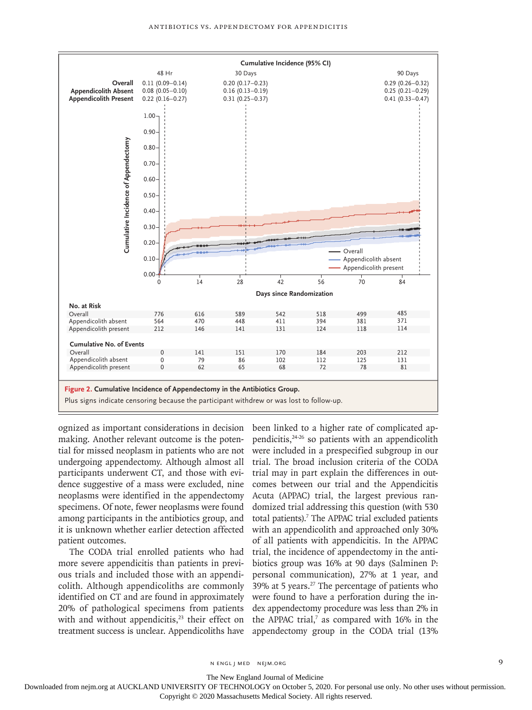

ognized as important considerations in decision making. Another relevant outcome is the potential for missed neoplasm in patients who are not undergoing appendectomy. Although almost all participants underwent CT, and those with evidence suggestive of a mass were excluded, nine neoplasms were identified in the appendectomy specimens. Of note, fewer neoplasms were found among participants in the antibiotics group, and it is unknown whether earlier detection affected patient outcomes.

The CODA trial enrolled patients who had more severe appendicitis than patients in previous trials and included those with an appendicolith. Although appendicoliths are commonly identified on CT and are found in approximately 20% of pathological specimens from patients with and without appendicitis,<sup>23</sup> their effect on treatment success is unclear. Appendicoliths have

been linked to a higher rate of complicated appendicitis,24-26 so patients with an appendicolith were included in a prespecified subgroup in our trial. The broad inclusion criteria of the CODA trial may in part explain the differences in outcomes between our trial and the Appendicitis Acuta (APPAC) trial, the largest previous randomized trial addressing this question (with 530 total patients).<sup>7</sup> The APPAC trial excluded patients with an appendicolith and approached only 30% of all patients with appendicitis. In the APPAC trial, the incidence of appendectomy in the antibiotics group was 16% at 90 days (Salminen P: personal communication), 27% at 1 year, and 39% at 5 years. $27$  The percentage of patients who were found to have a perforation during the index appendectomy procedure was less than 2% in the APPAC trial, $7$  as compared with 16% in the appendectomy group in the CODA trial (13%

The New England Journal of Medicine

Downloaded from nejm.org at AUCKLAND UNIVERSITY OF TECHNOLOGY on October 5, 2020. For personal use only. No other uses without permission.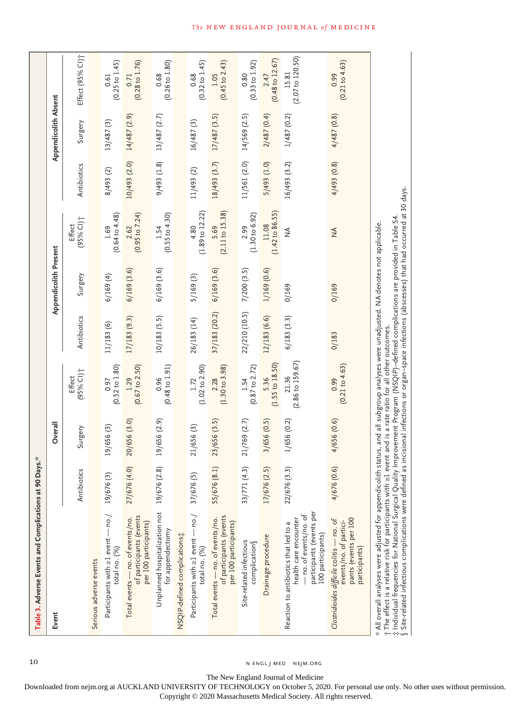| Table 3. Adverse Events and Complications at 90                                                                                                                                                                                                                                                                                                                                                                                                                                                                                                       | Days."                      |              |                                    |               |                       |                                                                                              |                 |                             |                                    |
|-------------------------------------------------------------------------------------------------------------------------------------------------------------------------------------------------------------------------------------------------------------------------------------------------------------------------------------------------------------------------------------------------------------------------------------------------------------------------------------------------------------------------------------------------------|-----------------------------|--------------|------------------------------------|---------------|-----------------------|----------------------------------------------------------------------------------------------|-----------------|-----------------------------|------------------------------------|
| Event                                                                                                                                                                                                                                                                                                                                                                                                                                                                                                                                                 |                             | Overall      |                                    |               | Appendicolith Present |                                                                                              |                 | <b>Appendicolith Absent</b> |                                    |
|                                                                                                                                                                                                                                                                                                                                                                                                                                                                                                                                                       | Antibiotics                 | Surgery      | $(95% CI)$ <sup>+</sup><br>Effect  | Antibiotics   | Surgery               | $(95% CI)$ <sup>+</sup><br>Effect                                                            | Antibiotics     | Surgery                     | Effect (95% CI) †                  |
| Serious adverse events                                                                                                                                                                                                                                                                                                                                                                                                                                                                                                                                |                             |              |                                    |               |                       |                                                                                              |                 |                             |                                    |
| Participants with $\geq$ 1 event - no./ 19/676(3)<br>total no. (%)                                                                                                                                                                                                                                                                                                                                                                                                                                                                                    |                             | 19/656 (3)   | (0.52 to 1.80)<br>0.97             | 11/183 (6)    | 6/169(4)              | $(0.64 \text{ to } 4.48)$<br>1.69                                                            | 8/493 (2)       | 13/487 (3)                  | $(0.25 \text{ to } 1.45)$<br>0.61  |
| of participants (events<br>Total events - no. of events/no.<br>per 100 participants)                                                                                                                                                                                                                                                                                                                                                                                                                                                                  | 27/676 (4.0)                | 20/656 (3.0) | (0.67 to 2.50)<br>1.29             | 17/183 (9.3)  | 6/169(3.6)            | (0.95 to 7.24)<br>2.62                                                                       | 10/493 (2.0)    | 14/487(2.9)                 | (0.28 to 1.76)<br>0.71             |
| Unplanned hospitalization not 19/676 (2.8)<br>for appendectomy                                                                                                                                                                                                                                                                                                                                                                                                                                                                                        |                             | 19/656 (2.9) | $(0.48 \text{ to } 1.91)$<br>0.96  | 10/183 (5.5)  | 6/169(3.6)            | (0.55 to 4.30)<br>1.54                                                                       | $9/493$ $(1.8)$ | 13/487(2.7)                 | (0.26 to 1.80)<br>0.68             |
| NSQIP-defined complications;                                                                                                                                                                                                                                                                                                                                                                                                                                                                                                                          |                             |              |                                    |               |                       |                                                                                              |                 |                             |                                    |
| Participants with $\geq$ 1 event - no./ 37/676(5)<br>total no. (%)                                                                                                                                                                                                                                                                                                                                                                                                                                                                                    |                             | 21/656 (3)   | (1.02 to 2.90)<br>1.72             | 26/183 (14)   | 5/169(3)              | $(1.89 \text{ to } 12.22)$<br>4.80                                                           | 11/493 (2)      | 16/487 (3)                  | $(0.32 \text{ to } 1.45)$<br>0.68  |
| of participants (events<br>Total events - no. of events/no.<br>per 100 participants)                                                                                                                                                                                                                                                                                                                                                                                                                                                                  | 55/676 (8.1)                | 23/656(3.5)  | (1.30 to 3.98)<br>2.28             | 37/183 (20.2) | $6/169$ $(3.6)$       | (2.11 to 15.38)<br>5.69                                                                      | 18/493 (3.7)    | 17/487(3.5)                 | $(0.45 \text{ to } 2.43)$<br>1.05  |
| Site-related infectious<br>complication                                                                                                                                                                                                                                                                                                                                                                                                                                                                                                               | $\ddot{\cdot}$<br>33/771(4) | 21/769 (2.7) | (0.87 to 2.72)<br>1.54             | 22/210 (10.5) | 7/200 (3.5)           | (1.30 to 6.92)<br>2.99                                                                       | 11/561 (2.0)    | 14/569 (2.5)                | (0.33 to 1.92)<br>0.80             |
| Drainage procedure                                                                                                                                                                                                                                                                                                                                                                                                                                                                                                                                    | 17/676 (2.5)                | 3/656(0.5)   | $(1.55 \text{ to } 18.50)$<br>5.36 | 12/183 (6.6)  | 1/169 (0.6)           | $(1.42$ to $86.55)$<br>11.08                                                                 | 5/493 (1.0)     | 2/487(0.4)                  | $(0.48 \text{ to } 12.67)$<br>2.47 |
| participants (events per<br>- no. of events/no. of<br>health care encounter<br>Reaction to antibiotics that led to a<br>100 participants)                                                                                                                                                                                                                                                                                                                                                                                                             | 22/676 (3.3)                | 1/656 (0.2)  | (2.86 to 159.67)<br>21.36          | 6/183(3.3)    | 0/169                 | ≸                                                                                            | 16/493 (3.2)    | 1/487(0.2)                  | (2.07 to 120.50)<br>15.81          |
| pants (events per 100<br>$\mathsf{C}$ lostridioides difficile colitis — no. of<br>events/no. of partici-<br>participants)                                                                                                                                                                                                                                                                                                                                                                                                                             | 4/676 (0.6)                 | 4/656 (0.6)  | (0.21 to 4.63)<br>0.99             | 0/183         | 0/169                 | $\frac{4}{2}$                                                                                | 4/493 (0.8)     | 4/487 (0.8)                 | (0.21 to 4.63)<br>0.99             |
| t Individual frequencies for National Surgical Quality Improvement Program (NSQIP)–defined complications are provided in Table S4.<br>§ Site-related infectious complications were defined as incisional infections or organ-coan<br>* All overall analyses were adjusted for appendicolith status, and all subgroup analyses were unadjusted. NA denotes not applicable.<br>$\dagger$ The effect is a relative risk for participants with 21 event and is a rate ratio for all other outcomes.<br>Site-related infectious complications were defined |                             |              |                                    |               |                       | as incisional infections or organ-space infections (abscesses) that had occurred at 30 days. |                 |                             |                                    |

10 N ENGL J MED NEJM.ORG

The New England Journal of Medicine

Downloaded from nejm.org at AUCKLAND UNIVERSITY OF TECHNOLOGY on October 5, 2020. For personal use only. No other uses without permission.

Copyright © 2020 Massachusetts Medical Society. All rights reserved.

# **The NEW ENGLAND JOURNAL of MEDICINE**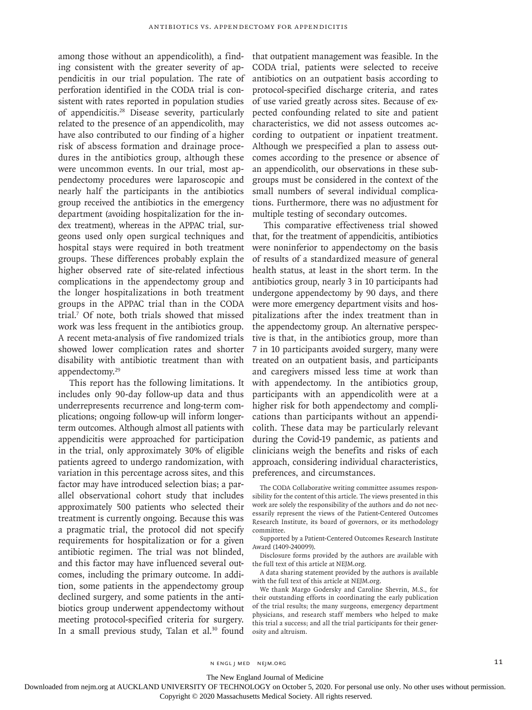among those without an appendicolith), a finding consistent with the greater severity of appendicitis in our trial population. The rate of perforation identified in the CODA trial is consistent with rates reported in population studies of appendicitis.28 Disease severity, particularly related to the presence of an appendicolith, may have also contributed to our finding of a higher risk of abscess formation and drainage procedures in the antibiotics group, although these were uncommon events. In our trial, most appendectomy procedures were laparoscopic and nearly half the participants in the antibiotics group received the antibiotics in the emergency department (avoiding hospitalization for the index treatment), whereas in the APPAC trial, surgeons used only open surgical techniques and hospital stays were required in both treatment groups. These differences probably explain the higher observed rate of site-related infectious complications in the appendectomy group and the longer hospitalizations in both treatment groups in the APPAC trial than in the CODA trial.7 Of note, both trials showed that missed work was less frequent in the antibiotics group. A recent meta-analysis of five randomized trials showed lower complication rates and shorter disability with antibiotic treatment than with appendectomy.29

This report has the following limitations. It includes only 90-day follow-up data and thus underrepresents recurrence and long-term complications; ongoing follow-up will inform longerterm outcomes. Although almost all patients with appendicitis were approached for participation in the trial, only approximately 30% of eligible patients agreed to undergo randomization, with variation in this percentage across sites, and this factor may have introduced selection bias; a parallel observational cohort study that includes approximately 500 patients who selected their treatment is currently ongoing. Because this was a pragmatic trial, the protocol did not specify requirements for hospitalization or for a given antibiotic regimen. The trial was not blinded, and this factor may have influenced several outcomes, including the primary outcome. In addition, some patients in the appendectomy group declined surgery, and some patients in the antibiotics group underwent appendectomy without meeting protocol-specified criteria for surgery. In a small previous study, Talan et al.<sup>30</sup> found

that outpatient management was feasible. In the CODA trial, patients were selected to receive antibiotics on an outpatient basis according to protocol-specified discharge criteria, and rates of use varied greatly across sites. Because of expected confounding related to site and patient characteristics, we did not assess outcomes according to outpatient or inpatient treatment. Although we prespecified a plan to assess outcomes according to the presence or absence of an appendicolith, our observations in these subgroups must be considered in the context of the small numbers of several individual complications. Furthermore, there was no adjustment for multiple testing of secondary outcomes.

This comparative effectiveness trial showed that, for the treatment of appendicitis, antibiotics were noninferior to appendectomy on the basis of results of a standardized measure of general health status, at least in the short term. In the antibiotics group, nearly 3 in 10 participants had undergone appendectomy by 90 days, and there were more emergency department visits and hospitalizations after the index treatment than in the appendectomy group. An alternative perspective is that, in the antibiotics group, more than 7 in 10 participants avoided surgery, many were treated on an outpatient basis, and participants and caregivers missed less time at work than with appendectomy. In the antibiotics group, participants with an appendicolith were at a higher risk for both appendectomy and complications than participants without an appendicolith. These data may be particularly relevant during the Covid-19 pandemic, as patients and clinicians weigh the benefits and risks of each approach, considering individual characteristics, preferences, and circumstances.

The CODA Collaborative writing committee assumes responsibility for the content of this article. The views presented in this work are solely the responsibility of the authors and do not necessarily represent the views of the Patient-Centered Outcomes Research Institute, its board of governors, or its methodology committee.

Supported by a Patient-Centered Outcomes Research Institute Award (1409-240099).

Disclosure forms provided by the authors are available with the full text of this article at NEJM.org.

A data sharing statement provided by the authors is available with the full text of this article at NEJM.org.

We thank Margo Godersky and Caroline Shevrin, M.S., for their outstanding efforts in coordinating the early publication of the trial results; the many surgeons, emergency department physicians, and research staff members who helped to make this trial a success; and all the trial participants for their generosity and altruism.

n engl j med nejm.org 11

The New England Journal of Medicine

Downloaded from nejm.org at AUCKLAND UNIVERSITY OF TECHNOLOGY on October 5, 2020. For personal use only. No other uses without permission. Copyright © 2020 Massachusetts Medical Society. All rights reserved.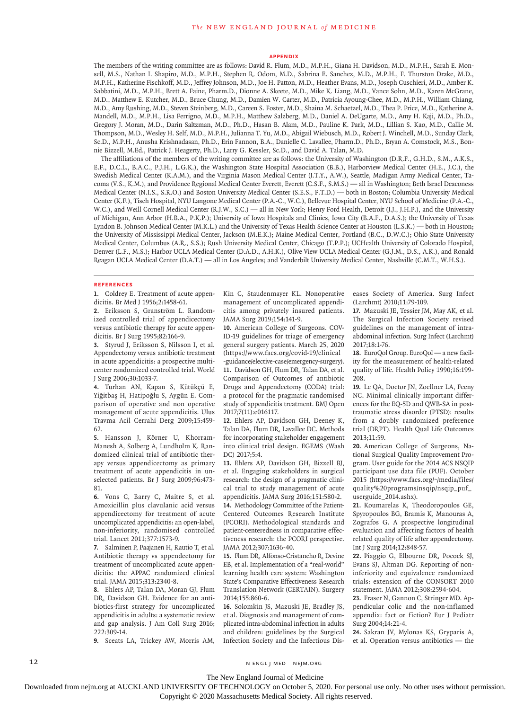#### **Appendix**

The members of the writing committee are as follows: David R. Flum, M.D., M.P.H., Giana H. Davidson, M.D., M.P.H., Sarah E. Monsell, M.S., Nathan I. Shapiro, M.D., M.P.H., Stephen R. Odom, M.D., Sabrina E. Sanchez, M.D., M.P.H., F. Thurston Drake, M.D., M.P.H., Katherine Fischkoff, M.D., Jeffrey Johnson, M.D., Joe H. Patton, M.D., Heather Evans, M.D., Joseph Cuschieri, M.D., Amber K. Sabbatini, M.D., M.P.H., Brett A. Faine, Pharm.D., Dionne A. Skeete, M.D., Mike K. Liang, M.D., Vance Sohn, M.D., Karen McGrane, M.D., Matthew E. Kutcher, M.D., Bruce Chung, M.D., Damien W. Carter, M.D., Patricia Ayoung-Chee, M.D., M.P.H., William Chiang, M.D., Amy Rushing, M.D., Steven Steinberg, M.D., Careen S. Foster, M.D., Shaina M. Schaetzel, M.D., Thea P. Price, M.D., Katherine A. Mandell, M.D., M.P.H., Lisa Ferrigno, M.D., M.P.H., Matthew Salzberg, M.D., Daniel A. DeUgarte, M.D., Amy H. Kaji, M.D., Ph.D., Gregory J. Moran, M.D., Darin Saltzman, M.D., Ph.D., Hasan B. Alam, M.D., Pauline K. Park, M.D., Lillian S. Kao, M.D., Callie M. Thompson, M.D., Wesley H. Self, M.D., M.P.H., Julianna T. Yu, M.D., Abigail Wiebusch, M.D., Robert J. Winchell, M.D., Sunday Clark, Sc.D., M.P.H., Anusha Krishnadasan, Ph.D., Erin Fannon, B.A., Danielle C. Lavallee, Pharm.D., Ph.D., Bryan A. Comstock, M.S., Bonnie Bizzell, M.Ed., Patrick J. Heagerty, Ph.D., Larry G. Kessler, Sc.D., and David A. Talan, M.D.

The affiliations of the members of the writing committee are as follows: the University of Washington (D.R.F., G.H.D., S.M., A.K.S., E.F., D.C.L., B.A.C., P.J.H., L.G.K.), the Washington State Hospital Association (B.B.), Harborview Medical Center (H.E., J.C.), the Swedish Medical Center (K.A.M.), and the Virginia Mason Medical Center (J.T.Y., A.W.), Seattle, Madigan Army Medical Center, Tacoma (V.S., K.M.), and Providence Regional Medical Center Everett, Everett (C.S.F., S.M.S.) — all in Washington; Beth Israel Deaconess Medical Center (N.I.S., S.R.O.) and Boston University Medical Center (S.E.S., F.T.D.) — both in Boston; Columbia University Medical Center (K.F.), Tisch Hospital, NYU Langone Medical Center (P.A.-C., W.C.), Bellevue Hospital Center, NYU School of Medicine (P.A.-C., W.C.), and Weill Cornell Medical Center (R.J.W., S.C.) — all in New York; Henry Ford Health, Detroit (J.J., J.H.P.), and the University of Michigan, Ann Arbor (H.B.A., P.K.P.); University of Iowa Hospitals and Clinics, Iowa City (B.A.F., D.A.S.); the University of Texas Lyndon B. Johnson Medical Center (M.K.L.) and the University of Texas Health Science Center at Houston (L.S.K.) — both in Houston; the University of Mississippi Medical Center, Jackson (M.E.K.); Maine Medical Center, Portland (B.C., D.W.C.); Ohio State University Medical Center, Columbus (A.R., S.S.); Rush University Medical Center, Chicago (T.P.P.); UCHealth University of Colorado Hospital, Denver (L.F., M.S.); Harbor UCLA Medical Center (D.A.D., A.H.K.), Olive View UCLA Medical Center (G.J.M., D.S., A.K.), and Ronald Reagan UCLA Medical Center (D.A.T.) — all in Los Angeles; and Vanderbilt University Medical Center, Nashville (C.M.T., W.H.S.).

#### **References**

**1.** Coldrey E. Treatment of acute appendicitis. Br Med J 1956;2:1458-61.

**2.** Eriksson S, Granström L. Randomized controlled trial of appendicectomy versus antibiotic therapy for acute appendicitis. Br J Surg 1995;82:166-9.

**3.** Styrud J, Eriksson S, Nilsson I, et al. Appendectomy versus antibiotic treatment in acute appendicitis: a prospective multicenter randomized controlled trial. World J Surg 2006;30:1033-7.

**4.** Turhan AN, Kapan S, Kütükçü E, Yiğitbaş H, Hatipoğlu S, Aygün E. Comparison of operative and non operative management of acute appendicitis. Ulus Travma Acil Cerrahi Derg 2009;15:459- 62.

**5.** Hansson J, Körner U, Khorram-Manesh A, Solberg A, Lundholm K. Randomized clinical trial of antibiotic therapy versus appendicectomy as primary treatment of acute appendicitis in unselected patients. Br J Surg 2009;96:473- 81.

**6.** Vons C, Barry C, Maitre S, et al. Amoxicillin plus clavulanic acid versus appendicectomy for treatment of acute uncomplicated appendicitis: an open-label, non-inferiority, randomised controlled trial. Lancet 2011;377:1573-9.

**7.** Salminen P, Paajanen H, Rautio T, et al. Antibiotic therapy vs appendectomy for treatment of uncomplicated acute appendicitis: the APPAC randomized clinical trial. JAMA 2015;313:2340-8.

**8.** Ehlers AP, Talan DA, Moran GJ, Flum DR, Davidson GH. Evidence for an antibiotics-first strategy for uncomplicated appendicitis in adults: a systematic review and gap analysis. J Am Coll Surg 2016; 222:309-14.

**9.** Sceats LA, Trickey AW, Morris AM,

Kin C, Staudenmayer KL. Nonoperative management of uncomplicated appendicitis among privately insured patients. JAMA Surg 2019;154:141-9.

**10.** American College of Surgeons. COV-ID-19 guidelines for triage of emergency general surgery patients. March 25, 2020 (https://www.facs.org/covid-19/clinical -guidance/elective-case/emergency-surgery). **11.** Davidson GH, Flum DR, Talan DA, et al. Comparison of Outcomes of antibiotic Drugs and Appendectomy (CODA) trial: a protocol for the pragmatic randomised study of appendicitis treatment. BMJ Open 2017;7(11):e016117.

**12.** Ehlers AP, Davidson GH, Deeney K, Talan DA, Flum DR, Lavallee DC. Methods for incorporating stakeholder engagement into clinical trial design. EGEMS (Wash DC) 2017;5:4.

**13.** Ehlers AP, Davidson GH, Bizzell BJ, et al. Engaging stakeholders in surgical research: the design of a pragmatic clinical trial to study management of acute appendicitis. JAMA Surg 2016;151:580-2. **14.** Methodology Committee of the Patient-Centered Outcomes Research Institute (PCORI). Methodological standards and patient-centeredness in comparative effectiveness research: the PCORI perspective. JAMA 2012;307:1636-40.

**15.** Flum DR, Alfonso-Cristancho R, Devine EB, et al. Implementation of a "real-world" learning health care system: Washington State's Comparative Effectiveness Research Translation Network (CERTAIN). Surgery 2014;155:860-6.

**16.** Solomkin JS, Mazuski JE, Bradley JS, et al. Diagnosis and management of complicated intra-abdominal infection in adults and children: guidelines by the Surgical Infection Society and the Infectious Diseases Society of America. Surg Infect (Larchmt) 2010;11:79-109.

**17.** Mazuski JE, Tessier JM, May AK, et al. The Surgical Infection Society revised guidelines on the management of intraabdominal infection. Surg Infect (Larchmt) 2017;18:1-76.

**18.** EuroQol Group. EuroQol — a new facility for the measurement of health-related quality of life. Health Policy 1990;16:199- 208.

**19.** Le QA, Doctor JN, Zoellner LA, Feeny NC. Minimal clinically important differences for the EQ-5D and QWB-SA in posttraumatic stress disorder (PTSD): results from a doubly randomized preference trial (DRPT). Health Qual Life Outcomes 2013;11:59.

**20.** American College of Surgeons, National Surgical Quality Improvement Program. User guide for the 2014 ACS NSQIP participant use data file (PUF). October 2015 (https://www.facs.org/~/media/files/ quality%20programs/nsqip/nsqip\_puf\_ userguide\_2014.ashx).

**21.** Koumarelas K, Theodoropoulos GE, Spyropoulos BG, Bramis K, Manouras A, Zografos G. A prospective longitudinal evaluation and affecting factors of health related quality of life after appendectomy. Int J Surg 2014;12:848-57.

**22.** Piaggio G, Elbourne DR, Pocock SJ, Evans SJ, Altman DG. Reporting of noninferiority and equivalence randomized trials: extension of the CONSORT 2010 statement. JAMA 2012;308:2594-604.

**23.** Fraser N, Gannon C, Stringer MD. Appendicular colic and the non-inflamed appendix: fact or fiction? Eur J Pediatr Surg 2004;14:21-4.

**24.** Sakran JV, Mylonas KS, Gryparis A, et al. Operation versus antibiotics — the

12 N ENGL J MED NEJM.ORG

Downloaded from nejm.org at AUCKLAND UNIVERSITY OF TECHNOLOGY on October 5, 2020. For personal use only. No other uses without permission.